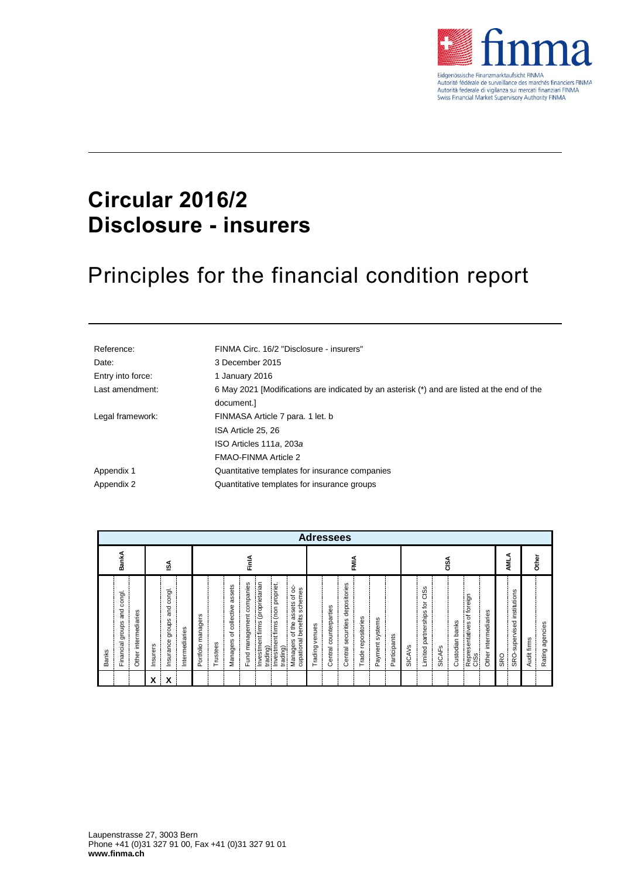

### **Circular 2016/2 Disclosure - insurers**

# Principles for the financial condition report

| Reference:        | FINMA Circ. 16/2 "Disclosure - insurers"                                                    |
|-------------------|---------------------------------------------------------------------------------------------|
| Date:             | 3 December 2015                                                                             |
| Entry into force: | 1 January 2016                                                                              |
| Last amendment:   | 6 May 2021 [Modifications are indicated by an asterisk (*) and are listed at the end of the |
|                   | document.]                                                                                  |
| Legal framework:  | FINMASA Article 7 para. 1 let. b                                                            |
|                   | ISA Article 25, 26                                                                          |
|                   | ISO Articles 111a, 203a                                                                     |
|                   | FMAO-FINMA Article 2                                                                        |
| Appendix 1        | Quantitative templates for insurance companies                                              |
| Appendix 2        | Quantitative templates for insurance groups                                                 |

|                                                                           | <b>Adressees</b>                                                            |                                                                                                                                                                                                                                                                                 |                                                                                                                                            |                                                                                                                                                                                                      |                                           |                                |
|---------------------------------------------------------------------------|-----------------------------------------------------------------------------|---------------------------------------------------------------------------------------------------------------------------------------------------------------------------------------------------------------------------------------------------------------------------------|--------------------------------------------------------------------------------------------------------------------------------------------|------------------------------------------------------------------------------------------------------------------------------------------------------------------------------------------------------|-------------------------------------------|--------------------------------|
| BankA                                                                     | ઙ∡                                                                          | FinlA                                                                                                                                                                                                                                                                           | FMIA                                                                                                                                       | GiSA                                                                                                                                                                                                 | ⋖<br>Μ                                    | Other                          |
| congl.<br>and<br>Other intermediaries<br>Financial groups<br><b>Banks</b> | congl.<br>and<br>groups<br>Intermediaries<br>Insurance<br>hsurers<br>X<br>x | Investment firms (proprietarian<br>companies<br>Investment firms (non propriet.<br>assets<br>of oc-<br>schemes<br>assets<br>of collective<br>Fund management<br>cupational benefits<br>Portfolio managers<br>of the<br>Managers<br>Managers<br>Trustees<br>trading)<br>trading) | depositories<br>Central counterparties<br>Trade repositories<br>Payment systems<br>securities<br>Trading venues<br>Participants<br>Central | C <sub>i</sub> S <sub>s</sub><br>foreign<br>ğ<br>Limited partnerships<br>intermediaries<br>ัธ<br>banks<br>Representatives<br>Custodian<br><b>SICAVS</b><br><b>SICAF<sub>S</sub></b><br>Other<br>CISS | SRO-supervised institutions<br><b>SRO</b> | Rating agencies<br>Audit firms |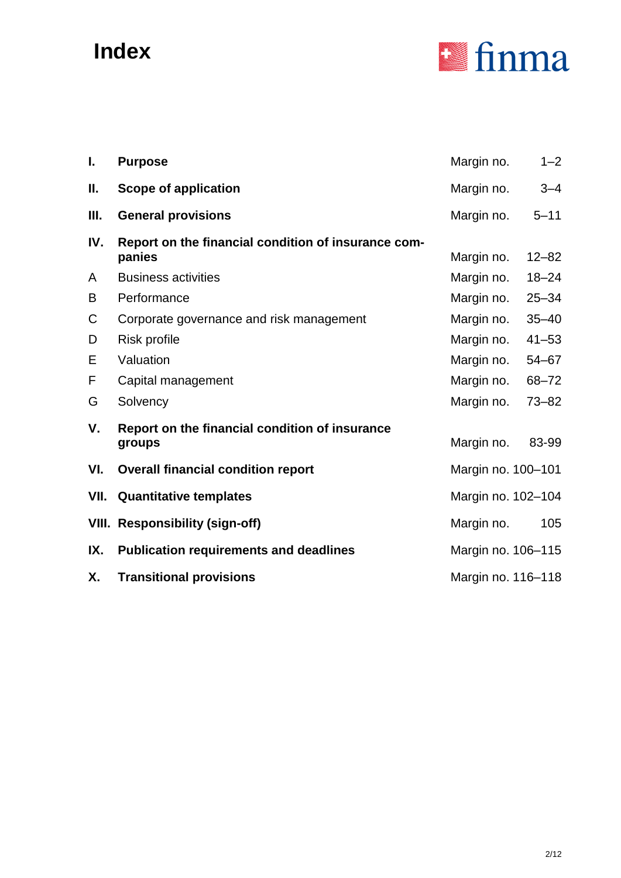## **Index**



| ı.   | <b>Purpose</b>                                                | Margin no.         | $1 - 2$   |
|------|---------------------------------------------------------------|--------------------|-----------|
| Ш.   | <b>Scope of application</b>                                   | Margin no.         | $3 - 4$   |
| Ш.   | <b>General provisions</b>                                     | Margin no.         | $5 - 11$  |
| IV.  | Report on the financial condition of insurance com-<br>panies | Margin no.         | $12 - 82$ |
| A    | <b>Business activities</b>                                    | Margin no.         | $18 - 24$ |
| B    | Performance                                                   | Margin no.         | $25 - 34$ |
| C    | Corporate governance and risk management                      | Margin no.         | $35 - 40$ |
| D    | <b>Risk profile</b>                                           | Margin no.         | $41 - 53$ |
| E    | Valuation                                                     | Margin no.         | $54 - 67$ |
| F    | Capital management                                            | Margin no.         | $68 - 72$ |
| G    | Solvency                                                      | Margin no.         | $73 - 82$ |
| V.   | Report on the financial condition of insurance<br>groups      | Margin no.         | 83-99     |
| VI.  | <b>Overall financial condition report</b>                     | Margin no. 100-101 |           |
| VII. | <b>Quantitative templates</b>                                 | Margin no. 102-104 |           |
|      | <b>VIII. Responsibility (sign-off)</b>                        | Margin no.         | 105       |
| IX.  | <b>Publication requirements and deadlines</b>                 | Margin no. 106-115 |           |
| Х.   | <b>Transitional provisions</b>                                | Margin no. 116-118 |           |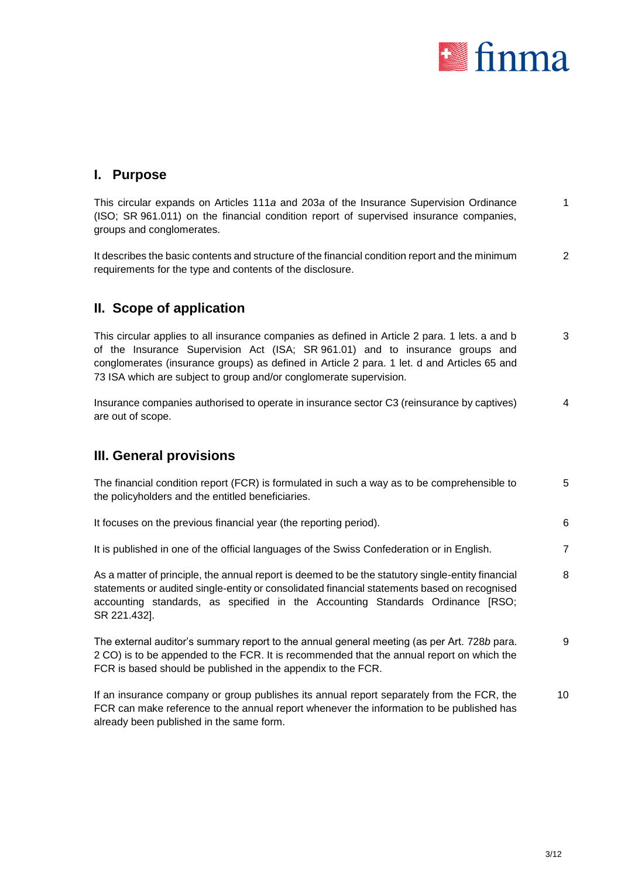

#### **I. Purpose**

This circular expands on Articles 111*a* and 203*a* of the Insurance Supervision Ordinance (ISO; SR 961.011) on the financial condition report of supervised insurance companies, groups and conglomerates. 1

It describes the basic contents and structure of the financial condition report and the minimum requirements for the type and contents of the disclosure. 2

### **II. Scope of application**

This circular applies to all insurance companies as defined in Article 2 para. 1 lets. a and b of the Insurance Supervision Act (ISA; SR 961.01) and to insurance groups and conglomerates (insurance groups) as defined in Article 2 para. 1 let. d and Articles 65 and 73 ISA which are subject to group and/or conglomerate supervision. 3

Insurance companies authorised to operate in insurance sector C3 (reinsurance by captives) are out of scope. 4

#### **III. General provisions**

| The financial condition report (FCR) is formulated in such a way as to be comprehensible to |  |
|---------------------------------------------------------------------------------------------|--|
| the policyholders and the entitled beneficiaries.                                           |  |

It focuses on the previous financial year (the reporting period). 6

It is published in one of the official languages of the Swiss Confederation or in English. 7

As a matter of principle, the annual report is deemed to be the statutory single-entity financial statements or audited single-entity or consolidated financial statements based on recognised accounting standards, as specified in the Accounting Standards Ordinance [RSO; SR 221.432]. 8

The external auditor's summary report to the annual general meeting (as per Art. 728*b* para. 2 CO) is to be appended to the FCR. It is recommended that the annual report on which the FCR is based should be published in the appendix to the FCR. 9

If an insurance company or group publishes its annual report separately from the FCR, the FCR can make reference to the annual report whenever the information to be published has already been published in the same form. 10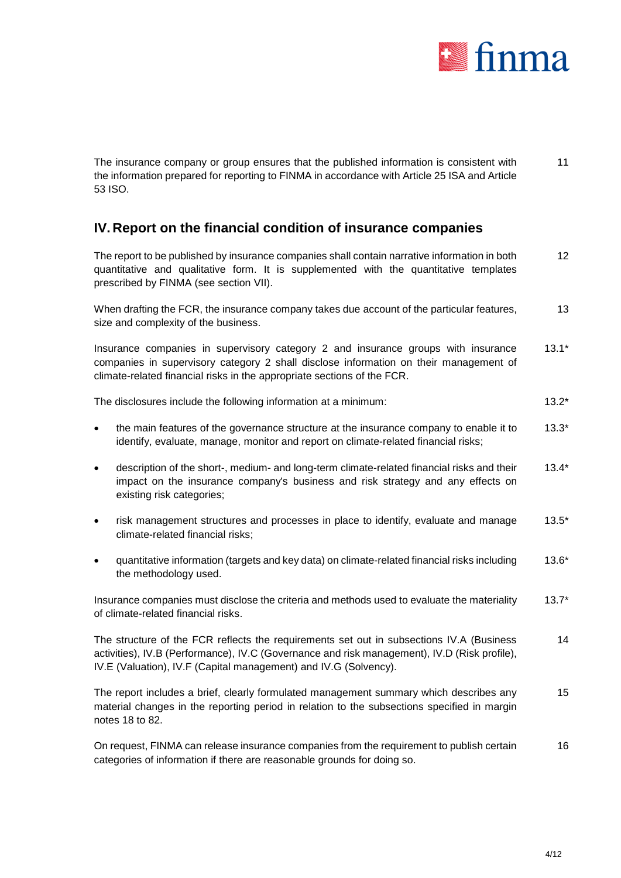

The insurance company or group ensures that the published information is consistent with the information prepared for reporting to FINMA in accordance with Article 25 ISA and Article 53 ISO. 11

### **IV. Report on the financial condition of insurance companies**

The report to be published by insurance companies shall contain narrative information in both quantitative and qualitative form. It is supplemented with the quantitative templates prescribed by FINMA (see section [VII\)](#page-9-0). 12 When drafting the FCR, the insurance company takes due account of the particular features, size and complexity of the business. 13 Insurance companies in supervisory category 2 and insurance groups with insurance companies in supervisory category 2 shall disclose information on their management of climate-related financial risks in the appropriate sections of the FCR. 13.1\* The disclosures include the following information at a minimum: 13.2\* 13.2\* • the main features of the governance structure at the insurance company to enable it to identify, evaluate, manage, monitor and report on climate-related financial risks; 13.3\* description of the short-, medium- and long-term climate-related financial risks and their impact on the insurance company's business and risk strategy and any effects on existing risk categories; 13.4\* risk management structures and processes in place to identify, evaluate and manage climate-related financial risks; 13.5\* quantitative information (targets and key data) on climate-related financial risks including the methodology used. 13.6\* Insurance companies must disclose the criteria and methods used to evaluate the materiality of climate-related financial risks. 13.7\* The structure of the FCR reflects the requirements set out in subsections IV.A (Business activities), IV.B (Performance), IV.C (Governance and risk management), IV.D (Risk profile), IV.E (Valuation), IV.F (Capital management) and IV.G (Solvency). 14

The report includes a brief, clearly formulated management summary which describes any material changes in the reporting period in relation to the subsections specified in margin notes 18 to 82. 15

On request, FINMA can release insurance companies from the requirement to publish certain categories of information if there are reasonable grounds for doing so. 16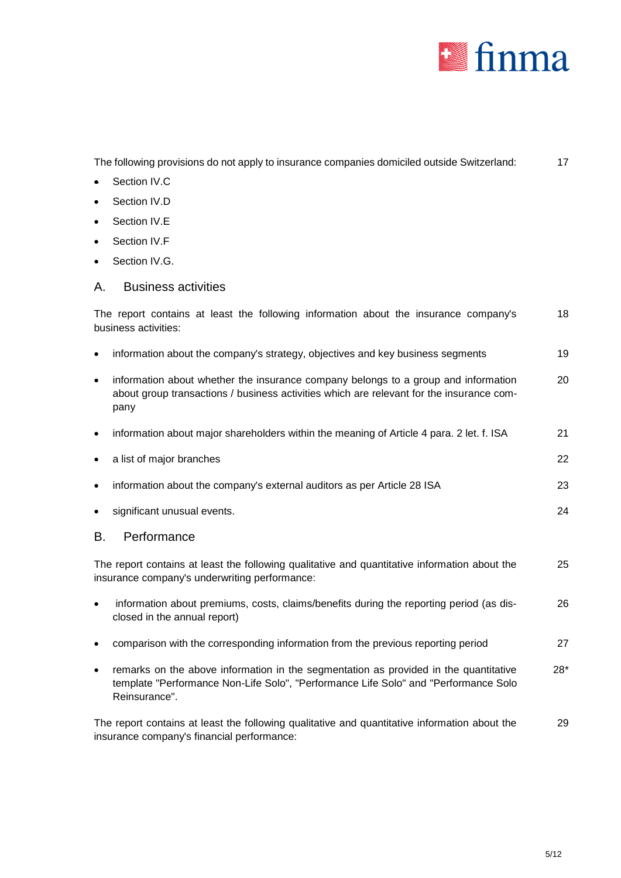

| The following provisions do not apply to insurance companies domiciled outside Switzerland:                                                                                                  | 17    |
|----------------------------------------------------------------------------------------------------------------------------------------------------------------------------------------------|-------|
| Section IV.C                                                                                                                                                                                 |       |
| Section IV.D                                                                                                                                                                                 |       |
| Section IV.E                                                                                                                                                                                 |       |
| Section IV.F                                                                                                                                                                                 |       |
| Section IV.G.                                                                                                                                                                                |       |
| <b>Business activities</b><br>Α.                                                                                                                                                             |       |
| The report contains at least the following information about the insurance company's<br>business activities:                                                                                 | 18    |
| information about the company's strategy, objectives and key business segments<br>٠                                                                                                          | 19    |
| information about whether the insurance company belongs to a group and information<br>٠<br>about group transactions / business activities which are relevant for the insurance com-<br>pany  | 20    |
| information about major shareholders within the meaning of Article 4 para. 2 let. f. ISA<br>٠                                                                                                | 21    |
| a list of major branches<br>٠                                                                                                                                                                | 22    |
| information about the company's external auditors as per Article 28 ISA<br>٠                                                                                                                 | 23    |
| significant unusual events.                                                                                                                                                                  | 24    |
| Performance<br>В.                                                                                                                                                                            |       |
| The report contains at least the following qualitative and quantitative information about the<br>insurance company's underwriting performance:                                               | 25    |
| information about premiums, costs, claims/benefits during the reporting period (as dis-<br>closed in the annual report)                                                                      | 26    |
| comparison with the corresponding information from the previous reporting period                                                                                                             | 27    |
| remarks on the above information in the segmentation as provided in the quantitative<br>template "Performance Non-Life Solo", "Performance Life Solo" and "Performance Solo<br>Reinsurance". | $28*$ |
| The report contains at least the following qualitative and quantitative information about the<br>insurance company's financial performance:                                                  | 29    |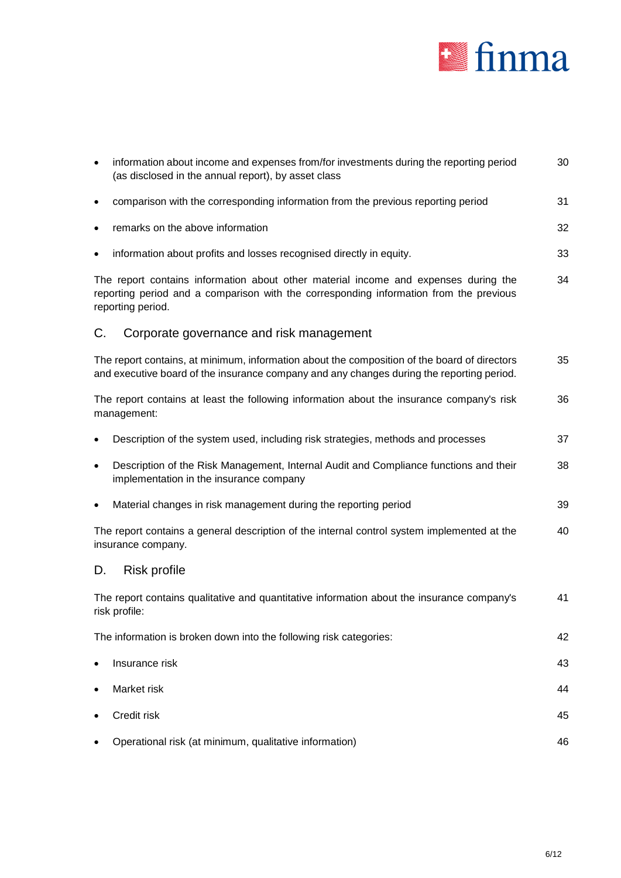

| $\bullet$ | information about income and expenses from/for investments during the reporting period<br>(as disclosed in the annual report), by asset class                                                      | 30 |
|-----------|----------------------------------------------------------------------------------------------------------------------------------------------------------------------------------------------------|----|
| $\bullet$ | comparison with the corresponding information from the previous reporting period                                                                                                                   | 31 |
| ٠         | remarks on the above information                                                                                                                                                                   | 32 |
| $\bullet$ | information about profits and losses recognised directly in equity.                                                                                                                                | 33 |
|           | The report contains information about other material income and expenses during the<br>reporting period and a comparison with the corresponding information from the previous<br>reporting period. | 34 |
| C.        | Corporate governance and risk management                                                                                                                                                           |    |
|           | The report contains, at minimum, information about the composition of the board of directors<br>and executive board of the insurance company and any changes during the reporting period.          | 35 |
|           | The report contains at least the following information about the insurance company's risk<br>management:                                                                                           | 36 |
|           | Description of the system used, including risk strategies, methods and processes                                                                                                                   | 37 |
| $\bullet$ | Description of the Risk Management, Internal Audit and Compliance functions and their<br>implementation in the insurance company                                                                   | 38 |
| $\bullet$ | Material changes in risk management during the reporting period                                                                                                                                    | 39 |
|           | The report contains a general description of the internal control system implemented at the<br>insurance company.                                                                                  | 40 |
| D.        | <b>Risk profile</b>                                                                                                                                                                                |    |
|           | The report contains qualitative and quantitative information about the insurance company's<br>risk profile:                                                                                        | 41 |
|           | The information is broken down into the following risk categories:                                                                                                                                 | 42 |
|           | Insurance risk                                                                                                                                                                                     | 43 |
| $\bullet$ | Market risk                                                                                                                                                                                        | 44 |
| ٠         | Credit risk                                                                                                                                                                                        | 45 |
|           | Operational risk (at minimum, qualitative information)                                                                                                                                             | 46 |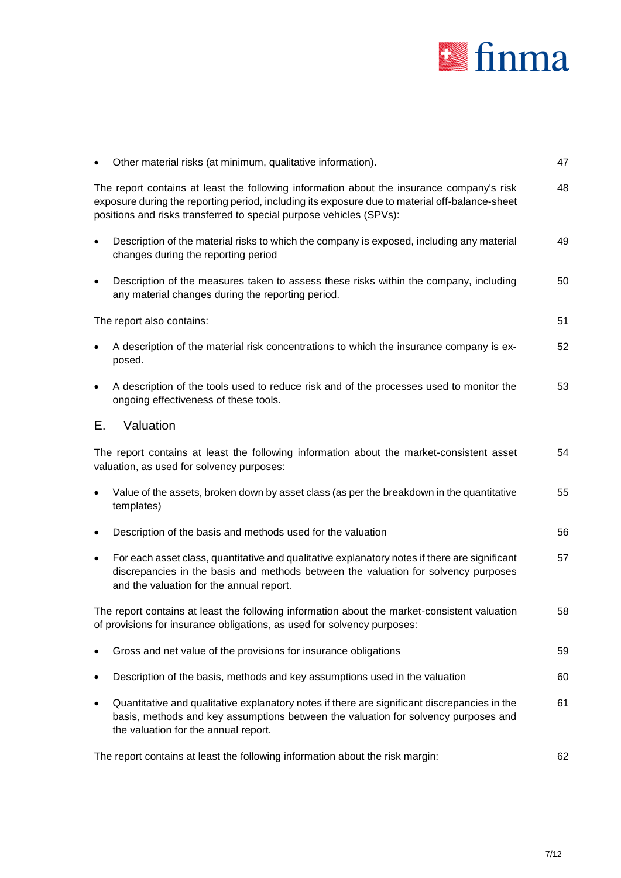

|           | Other material risks (at minimum, qualitative information).                                                                                                                                                                                                        | 47 |
|-----------|--------------------------------------------------------------------------------------------------------------------------------------------------------------------------------------------------------------------------------------------------------------------|----|
|           | The report contains at least the following information about the insurance company's risk<br>exposure during the reporting period, including its exposure due to material off-balance-sheet<br>positions and risks transferred to special purpose vehicles (SPVs): | 48 |
| $\bullet$ | Description of the material risks to which the company is exposed, including any material<br>changes during the reporting period                                                                                                                                   | 49 |
| $\bullet$ | Description of the measures taken to assess these risks within the company, including<br>any material changes during the reporting period.                                                                                                                         | 50 |
|           | The report also contains:                                                                                                                                                                                                                                          | 51 |
|           | A description of the material risk concentrations to which the insurance company is ex-<br>posed.                                                                                                                                                                  | 52 |
| $\bullet$ | A description of the tools used to reduce risk and of the processes used to monitor the<br>ongoing effectiveness of these tools.                                                                                                                                   | 53 |
| Е.        | Valuation                                                                                                                                                                                                                                                          |    |
|           | The report contains at least the following information about the market-consistent asset<br>valuation, as used for solvency purposes:                                                                                                                              | 54 |
| $\bullet$ | Value of the assets, broken down by asset class (as per the breakdown in the quantitative<br>templates)                                                                                                                                                            | 55 |
| $\bullet$ | Description of the basis and methods used for the valuation                                                                                                                                                                                                        | 56 |
| $\bullet$ | For each asset class, quantitative and qualitative explanatory notes if there are significant<br>discrepancies in the basis and methods between the valuation for solvency purposes<br>and the valuation for the annual report.                                    | 57 |
|           | The report contains at least the following information about the market-consistent valuation<br>of provisions for insurance obligations, as used for solvency purposes:                                                                                            | 58 |
|           | Gross and net value of the provisions for insurance obligations                                                                                                                                                                                                    | 59 |
|           | Description of the basis, methods and key assumptions used in the valuation                                                                                                                                                                                        | 60 |
|           | Quantitative and qualitative explanatory notes if there are significant discrepancies in the<br>basis, methods and key assumptions between the valuation for solvency purposes and<br>the valuation for the annual report.                                         | 61 |
|           | The report contains at least the following information about the risk margin:                                                                                                                                                                                      | 62 |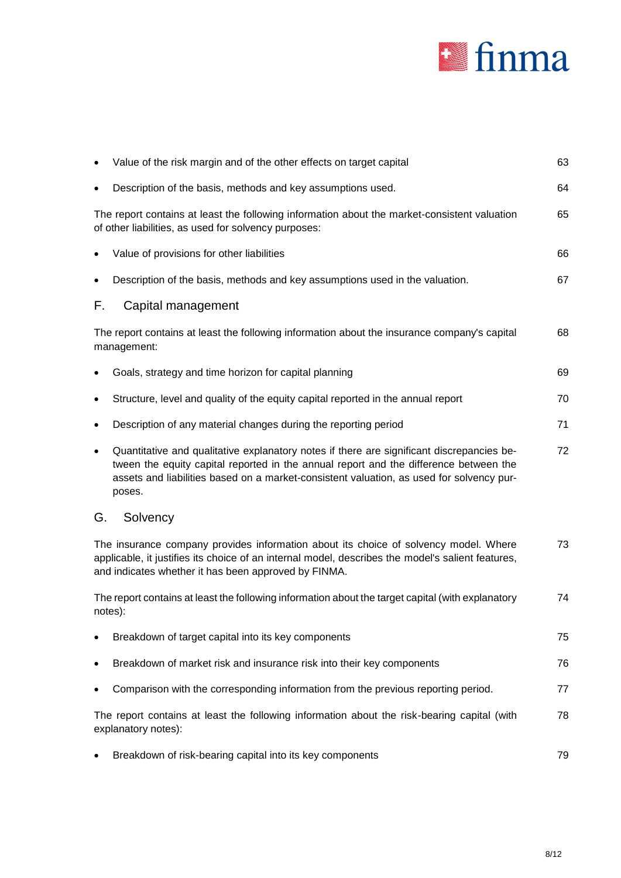

|           | Value of the risk margin and of the other effects on target capital                                                                                                                                                                                                                      | 63 |
|-----------|------------------------------------------------------------------------------------------------------------------------------------------------------------------------------------------------------------------------------------------------------------------------------------------|----|
|           | Description of the basis, methods and key assumptions used.                                                                                                                                                                                                                              | 64 |
|           | The report contains at least the following information about the market-consistent valuation<br>of other liabilities, as used for solvency purposes:                                                                                                                                     | 65 |
| ٠         | Value of provisions for other liabilities                                                                                                                                                                                                                                                | 66 |
|           | Description of the basis, methods and key assumptions used in the valuation.                                                                                                                                                                                                             | 67 |
| F.        | Capital management                                                                                                                                                                                                                                                                       |    |
|           | The report contains at least the following information about the insurance company's capital<br>management:                                                                                                                                                                              | 68 |
|           | Goals, strategy and time horizon for capital planning                                                                                                                                                                                                                                    | 69 |
|           | Structure, level and quality of the equity capital reported in the annual report                                                                                                                                                                                                         | 70 |
| ٠         | Description of any material changes during the reporting period                                                                                                                                                                                                                          | 71 |
| $\bullet$ | Quantitative and qualitative explanatory notes if there are significant discrepancies be-<br>tween the equity capital reported in the annual report and the difference between the<br>assets and liabilities based on a market-consistent valuation, as used for solvency pur-<br>poses. | 72 |
| G.        | Solvency                                                                                                                                                                                                                                                                                 |    |
|           | The insurance company provides information about its choice of solvency model. Where<br>applicable, it justifies its choice of an internal model, describes the model's salient features,<br>and indicates whether it has been approved by FINMA.                                        | 73 |
|           | The report contains at least the following information about the target capital (with explanatory<br>notes):                                                                                                                                                                             | 74 |
|           | Breakdown of target capital into its key components                                                                                                                                                                                                                                      | 75 |
|           | Breakdown of market risk and insurance risk into their key components                                                                                                                                                                                                                    | 76 |
|           | Comparison with the corresponding information from the previous reporting period.                                                                                                                                                                                                        | 77 |
|           | The report contains at least the following information about the risk-bearing capital (with<br>explanatory notes):                                                                                                                                                                       | 78 |
|           | Breakdown of risk-bearing capital into its key components                                                                                                                                                                                                                                | 79 |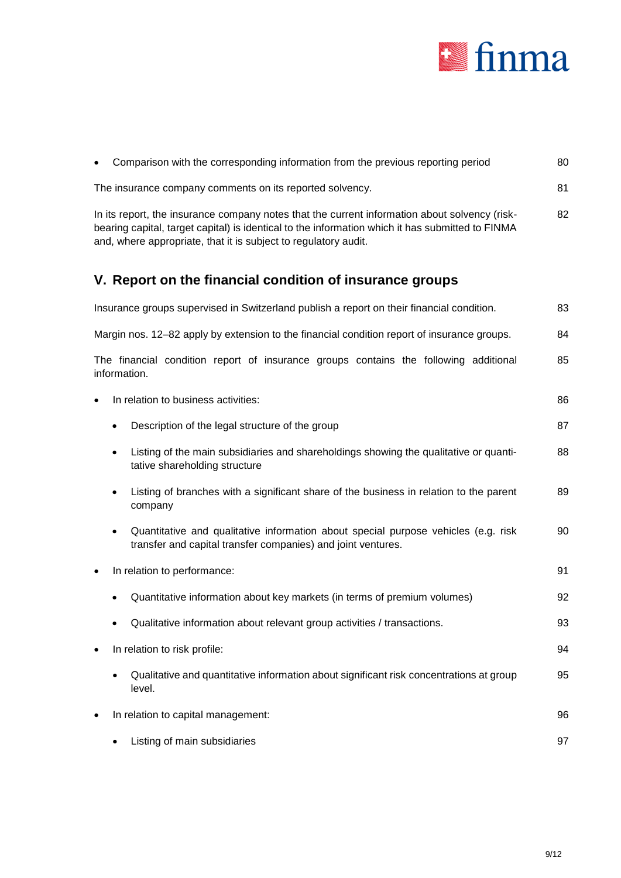

| Comparison with the corresponding information from the previous reporting period                                                                                                                                                                                     | 80 |
|----------------------------------------------------------------------------------------------------------------------------------------------------------------------------------------------------------------------------------------------------------------------|----|
| The insurance company comments on its reported solvency.                                                                                                                                                                                                             | 81 |
| In its report, the insurance company notes that the current information about solvency (risk-<br>bearing capital, target capital) is identical to the information which it has submitted to FINMA<br>and, where appropriate, that it is subject to regulatory audit. | 82 |
| V. Report on the financial condition of insurance groups                                                                                                                                                                                                             |    |
| Insurance groups supervised in Switzerland publish a report on their financial condition.                                                                                                                                                                            | 83 |
| Margin nos. 12-82 apply by extension to the financial condition report of insurance groups.                                                                                                                                                                          | 84 |
| The financial condition report of insurance groups contains the following additional<br>information.                                                                                                                                                                 | 85 |
| In relation to business activities:                                                                                                                                                                                                                                  | 86 |
| Description of the legal structure of the group                                                                                                                                                                                                                      | 87 |
| Listing of the main subsidiaries and shareholdings showing the qualitative or quanti-<br>tative shareholding structure                                                                                                                                               | 88 |
| Listing of branches with a significant share of the business in relation to the parent<br>company                                                                                                                                                                    | 89 |
| Quantitative and qualitative information about special purpose vehicles (e.g. risk<br>transfer and capital transfer companies) and joint ventures.                                                                                                                   | 90 |
| In relation to performance:<br>٠                                                                                                                                                                                                                                     | 91 |
| Quantitative information about key markets (in terms of premium volumes)                                                                                                                                                                                             | 92 |
| Qualitative information about relevant group activities / transactions.                                                                                                                                                                                              | 93 |
| In relation to risk profile:                                                                                                                                                                                                                                         | 94 |
| Qualitative and quantitative information about significant risk concentrations at group<br>level.                                                                                                                                                                    | 95 |
| In relation to capital management:                                                                                                                                                                                                                                   | 96 |
| Listing of main subsidiaries                                                                                                                                                                                                                                         | 97 |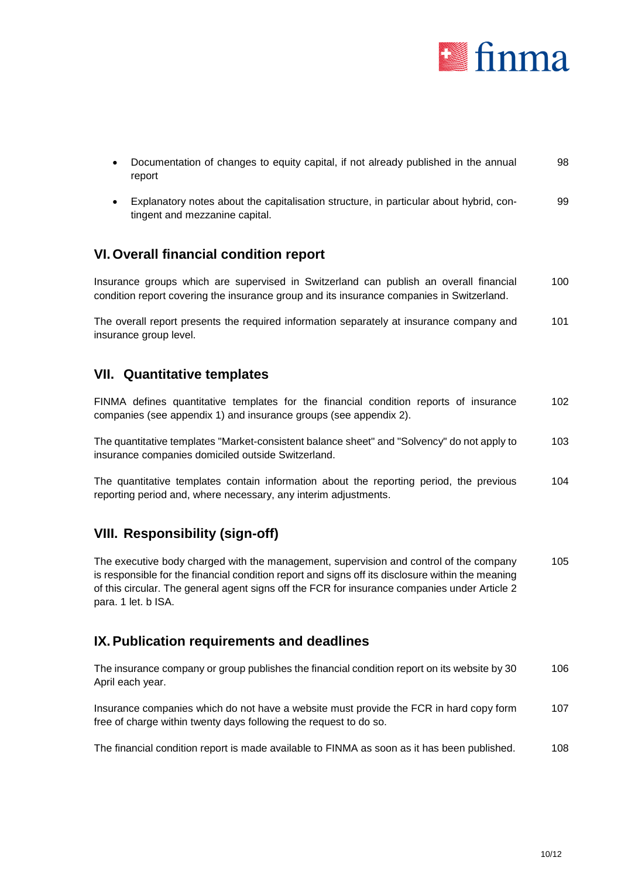

| Documentation of changes to equity capital, if not already published in the annual | 98 |
|------------------------------------------------------------------------------------|----|
| report                                                                             |    |

 Explanatory notes about the capitalisation structure, in particular about hybrid, contingent and mezzanine capital. 99

### **VI. Overall financial condition report**

Insurance groups which are supervised in Switzerland can publish an overall financial condition report covering the insurance group and its insurance companies in Switzerland. 100

The overall report presents the required information separately at insurance company and insurance group level. 101

### <span id="page-9-0"></span>**VII. Quantitative templates**

FINMA defines quantitative templates for the financial condition reports of insurance companies (see appendix 1) and insurance groups (see appendix 2). 102

The quantitative templates "Market-consistent balance sheet" and "Solvency" do not apply to insurance companies domiciled outside Switzerland. 103

The quantitative templates contain information about the reporting period, the previous reporting period and, where necessary, any interim adjustments. 104

### **VIII. Responsibility (sign-off)**

The executive body charged with the management, supervision and control of the company is responsible for the financial condition report and signs off its disclosure within the meaning of this circular. The general agent signs off the FCR for insurance companies under Article 2 para. 1 let. b ISA. 105

### **IX.Publication requirements and deadlines**

The insurance company or group publishes the financial condition report on its website by 30 April each year. 106

Insurance companies which do not have a website must provide the FCR in hard copy form free of charge within twenty days following the request to do so. 107

The financial condition report is made available to FINMA as soon as it has been published. 108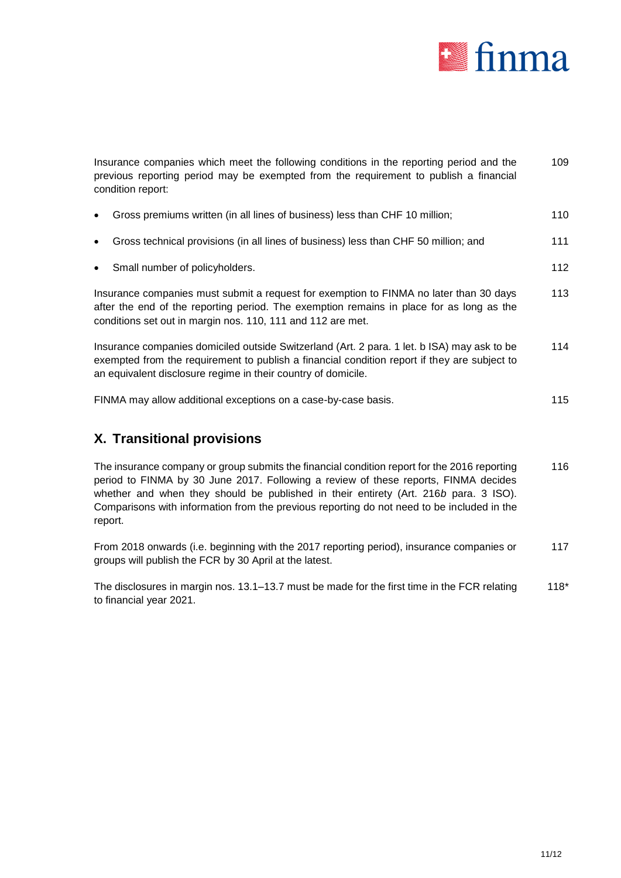

| Insurance companies which meet the following conditions in the reporting period and the<br>previous reporting period may be exempted from the requirement to publish a financial<br>condition report:                                                        | 109 |
|--------------------------------------------------------------------------------------------------------------------------------------------------------------------------------------------------------------------------------------------------------------|-----|
| Gross premiums written (in all lines of business) less than CHF 10 million;<br>$\bullet$                                                                                                                                                                     | 110 |
| Gross technical provisions (in all lines of business) less than CHF 50 million; and<br>$\bullet$                                                                                                                                                             | 111 |
| Small number of policyholders.<br>$\bullet$                                                                                                                                                                                                                  | 112 |
| Insurance companies must submit a request for exemption to FINMA no later than 30 days<br>after the end of the reporting period. The exemption remains in place for as long as the<br>conditions set out in margin nos. 110, 111 and 112 are met.            | 113 |
| Insurance companies domiciled outside Switzerland (Art. 2 para. 1 let. b ISA) may ask to be<br>exempted from the requirement to publish a financial condition report if they are subject to<br>an equivalent disclosure regime in their country of domicile. | 114 |
| FINMA may allow additional exceptions on a case-by-case basis.                                                                                                                                                                                               | 115 |
| X. Transitional provisions                                                                                                                                                                                                                                   |     |

The insurance company or group submits the financial condition report for the 2016 reporting period to FINMA by 30 June 2017. Following a review of these reports, FINMA decides whether and when they should be published in their entirety (Art. 216*b* para. 3 ISO). Comparisons with information from the previous reporting do not need to be included in the report. 116

From 2018 onwards (i.e. beginning with the 2017 reporting period), insurance companies or groups will publish the FCR by 30 April at the latest. 117

The disclosures in margin nos. 13.1–13.7 must be made for the first time in the FCR relating to financial year 2021. 118\*